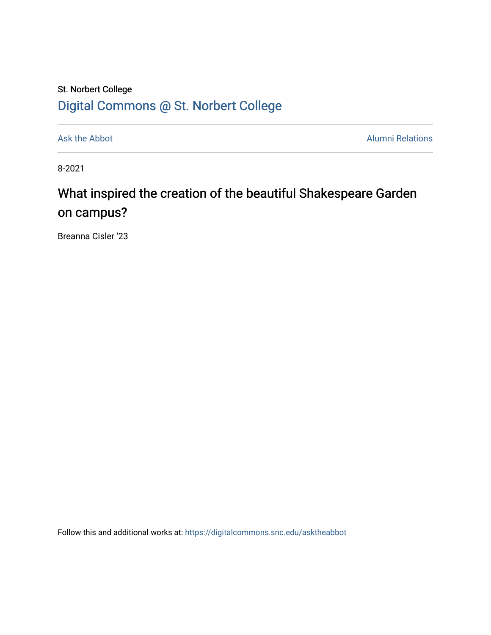## St. Norbert College [Digital Commons @ St. Norbert College](https://digitalcommons.snc.edu/)

[Ask the Abbot](https://digitalcommons.snc.edu/asktheabbot) **Alumni Relations** Alumni Relations

8-2021

## What inspired the creation of the beautiful Shakespeare Garden on campus?

Breanna Cisler '23

Follow this and additional works at: [https://digitalcommons.snc.edu/asktheabbot](https://digitalcommons.snc.edu/asktheabbot?utm_source=digitalcommons.snc.edu%2Fasktheabbot%2F171&utm_medium=PDF&utm_campaign=PDFCoverPages)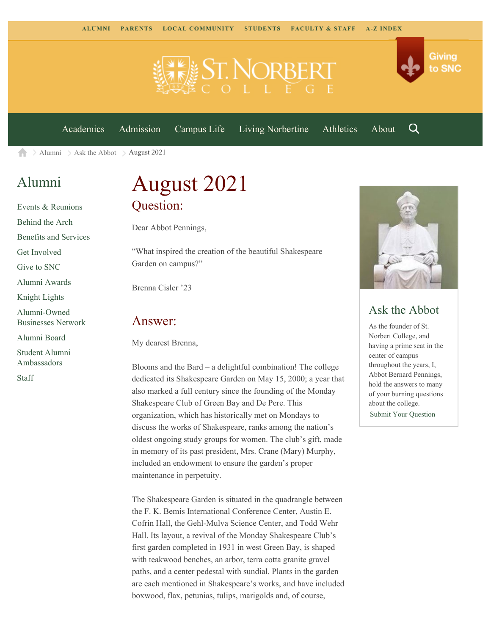

[Academics](https://www.snc.edu/academics) [Admission](https://www.snc.edu/admission) [Campus Life](https://www.snc.edu/campuslife) [Living Norbertine](https://www.snc.edu/livingnorbertine) [Athletics](https://www.snc.edu/athletics) [About](https://www.snc.edu/about)

Q

Giving

to SNC

[Alumni](https://www.snc.edu/alumni/)  $\geq$  [Ask the Abbot](https://www.snc.edu/alumni/abbot/)  $\geq$  August 2021 合

### [Alumni](https://www.snc.edu/alumni/index.html)

[Events & Reunions](https://www.snc.edu/alumni/event/index.html) [Behind the Arch](https://www.snc.edu/alumni/event/behindthearch/) [Benefits and Services](https://www.snc.edu/alumni/benefits.html) [Get Involved](https://www.snc.edu/alumni/getinvolved.html) [Give to SNC](http://giving.snc.edu/) [Alumni Awards](https://www.snc.edu/alumni/awards/index.html) [Knight Lights](https://www.snc.edu/alumni/knightlights/index.html) [Alumni-Owned](https://www.snc.edu/alumni/directory/index.html) [Businesses Network](https://www.snc.edu/alumni/directory/index.html) [Alumni Board](https://www.snc.edu/alumni/alumniboard.html) [Student Alumni](https://www.snc.edu/alumni/saa.html) [Ambassadors](https://www.snc.edu/alumni/saa.html) [Staff](https://www.snc.edu/alumni/contactus.html)

# August 2021 Question:

Dear Abbot Pennings,

"What inspired the creation of the beautiful Shakespeare Garden on campus?"

Brenna Cisler '23

#### Answer:

My dearest Brenna,

Blooms and the Bard – a delightful combination! The college dedicated its Shakespeare Garden on May 15, 2000; a year that also marked a full century since the founding of the Monday Shakespeare Club of Green Bay and De Pere. This organization, which has historically met on Mondays to discuss the works of Shakespeare, ranks among the nation's oldest ongoing study groups for women. The club's gift, made in memory of its past president, Mrs. Crane (Mary) Murphy, included an endowment to ensure the garden's proper maintenance in perpetuity.

The Shakespeare Garden is situated in the quadrangle between the F. K. Bemis International Conference Center, Austin E. Cofrin Hall, the Gehl-Mulva Science Center, and Todd Wehr Hall. Its layout, a revival of the Monday Shakespeare Club's first garden completed in 1931 in west Green Bay, is shaped with teakwood benches, an arbor, terra cotta granite gravel paths, and a center pedestal with sundial. Plants in the garden are each mentioned in Shakespeare's works, and have included boxwood, flax, petunias, tulips, marigolds and, of course,



### Ask the Abbot

As the founder of St. Norbert College, and having a prime seat in the center of campus throughout the years, I, Abbot Bernard Pennings, hold the answers to many of your burning questions about the college. [Submit Your Question](https://www.snc.edu/alumni/abbot/index.html)